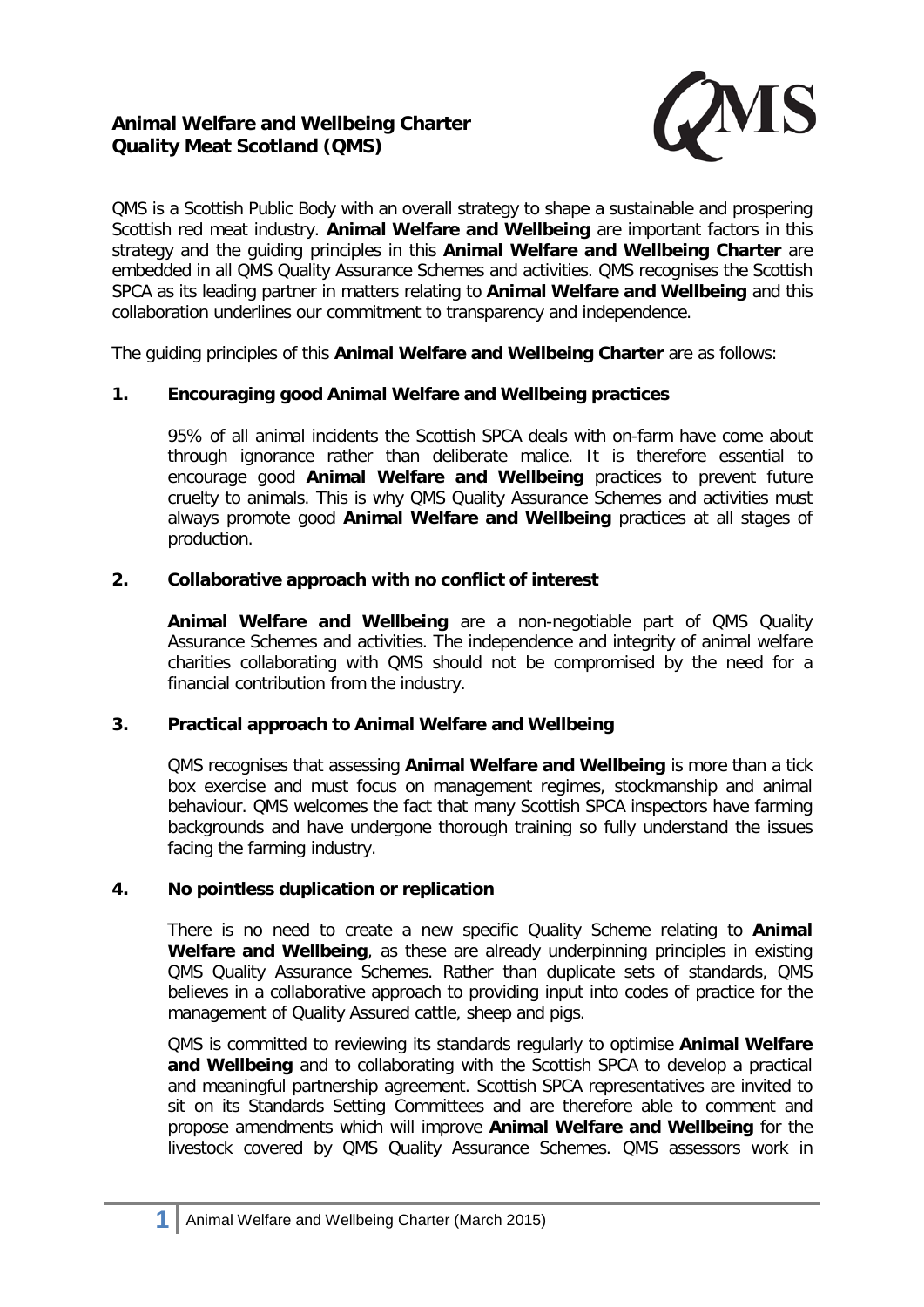# **Animal Welfare and Wellbeing Charter Quality Meat Scotland (QMS)**



QMS is a Scottish Public Body with an overall strategy to shape a sustainable and prospering Scottish red meat industry. **Animal Welfare and Wellbeing** are important factors in this strategy and the guiding principles in this **Animal Welfare and Wellbeing Charter** are embedded in all QMS Quality Assurance Schemes and activities. QMS recognises the Scottish SPCA as its leading partner in matters relating to **Animal Welfare and Wellbeing** and this collaboration underlines our commitment to transparency and independence.

The guiding principles of this **Animal Welfare and Wellbeing Charter** are as follows:

## **1. Encouraging good Animal Welfare and Wellbeing practices**

95% of all animal incidents the Scottish SPCA deals with on-farm have come about through ignorance rather than deliberate malice. It is therefore essential to encourage good **Animal Welfare and Wellbeing** practices to prevent future cruelty to animals. This is why QMS Quality Assurance Schemes and activities must always promote good **Animal Welfare and Wellbeing** practices at all stages of production.

## **2. Collaborative approach with no conflict of interest**

**Animal Welfare and Wellbeing** are a non-negotiable part of QMS Quality Assurance Schemes and activities. The independence and integrity of animal welfare charities collaborating with QMS should not be compromised by the need for a financial contribution from the industry.

## **3. Practical approach to Animal Welfare and Wellbeing**

QMS recognises that assessing **Animal Welfare and Wellbeing** is more than a tick box exercise and must focus on management regimes, stockmanship and animal behaviour. QMS welcomes the fact that many Scottish SPCA inspectors have farming backgrounds and have undergone thorough training so fully understand the issues facing the farming industry.

## **4. No pointless duplication or replication**

There is no need to create a new specific Quality Scheme relating to **Animal Welfare and Wellbeing**, as these are already underpinning principles in existing QMS Quality Assurance Schemes. Rather than duplicate sets of standards, QMS believes in a collaborative approach to providing input into codes of practice for the management of Quality Assured cattle, sheep and pigs.

QMS is committed to reviewing its standards regularly to optimise **Animal Welfare and Wellbeing** and to collaborating with the Scottish SPCA to develop a practical and meaningful partnership agreement. Scottish SPCA representatives are invited to sit on its Standards Setting Committees and are therefore able to comment and propose amendments which will improve **Animal Welfare and Wellbeing** for the livestock covered by QMS Quality Assurance Schemes. QMS assessors work in